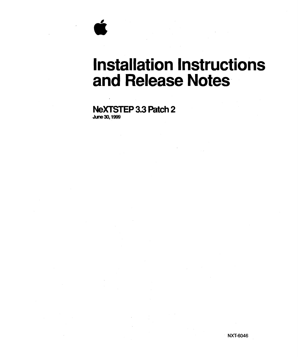

# Installation Instructions and Release Notes'

NeXTSTEP 3.3 Patch 2 **June 30, 1999**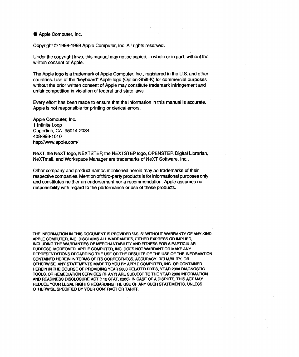#### **S** Apple Computer, Inc.

Copyright © 1998-1999 Apple Computer, Inc. All rights reserved.

Under the copyright laws, this manual may not be copied, in whole or in part, without the written consent of Apple.

The Apple logo is a trademark of Apple Computer, Inc., registered in the U.S. and other countries. Use of the "keyboard" Apple logo (Option-Shift-K) for commercial purposes without the prior written consent of Apple may constitute trademark infringement and unfair competition in violation of federal and state laws.

Every effort has been made to ensure that the information in this manual is accurate. Apple is not responsible for printing or clerical errors.

Apple Computer, Inc. 1 Infinite Loop Cupertino, CA 95014-2084 408-996-1010 http://www.apple.com/

NeXT, the NeXT logo, NEXTSTEp, the NEXTSTEP logo, OPENSTEp, Digital Librarian, NeXTmail, and Workspace Manager are trademarks of NeXT Software, Inc..

Other company and product names mentioned herein may be trademarks of their respective companies. Mention of third-party products is for informational purposes only and constitutes neither an endorsement nor a recommendation. Apple assumes no responsibility with regard to the performance or use of these products.

THE INFORMATION IN THIS DOCUMENT IS PROVIDED "AS IS" WITHOUT WARRANTY OF ANY KIND. APPLE COMPUTER, INC. DISCLAIMS ALL WARRANTIES, EITHER EXPRESS OR IMPLIED, INCLUDING THE WARRANTIES OF MERCHANTABILITY AND FITNESS FOR A PARTICULAR PURPOSE. MOREOVER, APPLE COMPUTER, INC. DOES NOT WARRANT OR MAKE ANY REPRESENTATIONS REGARDING THE USE OR THE RESULTS OF THE USE OF THE INFORMATION CONTAINED HEREIN IN TERMS OF ITS CORRECTNESS, ACCURACY, RELIABILITY, OR OTHERWISE. ANY STATEMENTS MADE TO YOU BY APPLE COMPUTER, INC. OR CONTAINED HEREIN IN THE COURSE OF PROVIDING YEAR 2000 RELATED FIXES, YEAR 2000 DIAGNOSTIC TOOLS, OR REMEDIATION SERVICES (IF ANY) ARE SUBJECT TO THE YEAR 2000 INFORMATION AND READINESS DISCLOSURE ACT (112 STAT. 2386). IN CASE OF A DISPUTE, THIS ACT MAY REDUCE YOUR lEGAL RIGHTS REGARDING THE USE OF ANY SUCH STATEMENTS, UNLESS OTHERWISE SPECIFIED BY YOUR CONTRACT OR TARIFF.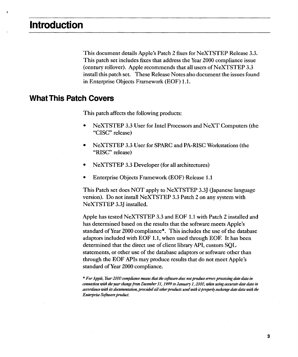# **Introduction**

This document details Apple's Patch 2 fixes for NeXTSTEP Release 3.3. This patch set includes fixes that address the Year 2000 compliance issue (century rollover). Apple recommends that all users of NeXTSTEP 3.3 install this patch set. These Release Notes also document the issues found in Enterprise Objects Framework (EOF) 1.1.

### **What This Patch Covers**

This patch affects the following products:

- NeXTSTEP 3.3 User for Intel Processors and NeXT Computers (the "CISC" release)
- NeXTSTEP 3.3 User for SPARC and PA-RISC Workstations (the "RISC" release)
- NeXTSTEP 3.3 Developer (for all architectures)
- Enterprise Objects Framework (EOF) Release 1.1

This Patch set does NOT apply to NeXTSTEP 3.3J (Japanese language version). Do not install NeXTSTEP 3.3 Patch 2 on any system with NeXTSTEP 3.3J installed.

Apple has tested NeXTSTEP 3.3 and EOF 1.1 with Patch 2 installed and has determined based on the results that the software meets Apple's standard of Year 2000 compliance\*. This includes the use of the database adaptors included with EOF 1.1, when used through EOE It has been determined that the direct use of client library API, custom SQL statements, or other use of the database adaptors or software other than through the EOF APls may produce results that do not meet Apple's standard of Year 2000 compliance.

\*' *For Apple,* ~ar *2000 compliance means that the software does not produce errors processing date data in connection with the year change from December 31, 1999 to January 1, 2000, when using accurate date data in accordance with its documentation, provided all otherproducts used with it properly exchange date data with the Enterprise Software product.*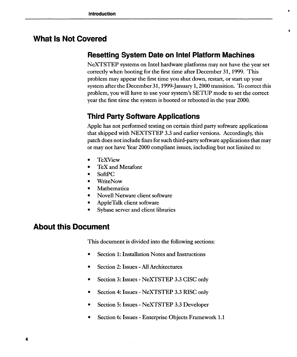### **What Is Not Covered**

### **Resetting System Date on Intel Platform Machines**

NeXTSTEP systems on Intel hardware platforms may not have the year set correctly when booting for the first time after December 31, 1999. This problem may appear the first time you shut down, restart, or start up your system after the December 31, 1999-January 1, 2000 transition. To correct this problem, you will have to use your system's SETUP mode to set the correct year the first time the system is booted or rebooted in the year 2000.

### **Third Party Software Applications**

Apple has not performed testing on certain third party software applications that shipped with NEXTSTEP 3.3 and earlier versions. Accordingly, this patch does not include fixes for such third-party software applications that may or may not have Year 2000 compliant issues, including but not limited to:

- TeXView
- TeX and Metafont
- SoftPC
- WriteNow
- **Mathematica**
- Novell Netware client software
- AppleTalk client software
- Sybase server and client libraries

### **About this Document**

This document is divided into the following sections:

- Section 1: Installation Notes and Instructions
- Section 2: Issues All Architectures
- Section 3: Issues NeXTSTEP 3.3 CISC only
- Section 4: Issues NeXTSTEP 3.3 RISC only
- Section 5: Issues NeXTSTEP 3.3 Developer
- Section 6: Issues Enterprise Objects Framework 1.1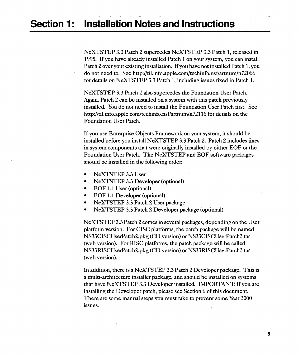### **Section 1: Installation Notes and Instructions**

NeXTSTEP 3.3 Patch 2 supercedes NeXTSTEP 3.3 Patch 1, released in 1995. If you have already installed Patch 1 on your system, you can install Patch 2 over your existing installation. If you have not installed Patch 1, you do not need to. See http://til.info.apple.com/techinfo.nsf/artnum/n72066 for details on NeXTSTEP 3.3 Patch 1, including issues fixed in Patch 1.

NeXTSTEP 3.3 Patch 2 also supercedes the Foundation User Patch. Again, Patch 2 can be installed on a system with this patch previously installed. You do not need to install the Foundation User Patch first. See http://til.info.apple.com/techinfo.nsf/artnum/n72116 for details on the Foundation User Patch.

If you use Enterprise Objects Framework on your system, it should be installed before you install NeXTSTEP 3.3 Patch 2. Patch 2 includes fixes in system components that were originally installed by either EOF or the Foundation User Patch. The NeXTSTEP and EOF software packages should be installed in the following order:

- NeXTSTEP 3.3 User
- NeXTSTEP 3.3 Developer (optional)
- EOF 1.1 User (optional)
- EOF 1.1 Developer (optional)
- NeXTSTEP 3.3 Patch 2 User package
- NeXTSTEP 3.3 Patch 2 Developer package (optional)

NeXTSTEP 3.3 Patch 2 comes in several packages, depending on the User platform version. For CISC platforms, the patch package will be named NS33CISCUserPatch2.pkg (CD version) or NS33CISCUserPatch2.tar (web version). For RISC platforms, the patch package will be called NS33RISCUserPatch2.pkg (CD version) or NS33RISCUserPatch2.tar (web version).

In addition, there is a NeXTSTEP 3.3 Patch 2 Developer package. This is a multi-architecture installer package, and should be installed on systems that have NeXTSTEP 3.3 Developer installed. IMPORTANT: If you are installing the Developer patch, please see Section 6 of this document. There are some manual steps you must take to prevent some Year 2000 issues.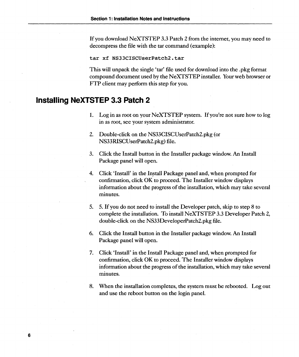If you download NeXTSTEP 3.3 Patch 2 from the internet, you may need to decompress the file with the tar command (example):

tar xf NS33CISCUserPatch2.tar

This will unpack the single 'tar' file used for download into the .pkg format compound document used by the NeXTSTEP installer. Your web browser or FTP client may perform this step for you.

### **Installing NeXTSTEP 3.3 Patch 2**

- 1. Log in as root on your NeXTSTEP system. If you're not sure how to log in as root, see your system administrator.
- 2. Double-click on the NS33CISCUserPatch2. pkg (or NS33RISCUserPatch2.pkg) file.
- 3. Click the Install button in the Installer package window. An Install Package panel will open.
- 4. Click 'Install' in the Install Package panel and, when prompted for confirmation, click OK to proceed. The Installer window displays information about the progress of the installation, which may take several minutes.
- 5. 5. If you do not need to install the Developer patch, skip to step 8 to complete the installation. To install NeXTSTEP 3.3 DeVeloper Patch 2, double-click on the NS33DeveloperPatch2.pkg file.
- 6. Click the Install button in the Installer package window. An Install Package panel will open.
- 7. Click 'Install' in the Install Package panel and, when prompted for confirmation, click OK to proceed. The Installer window displays information about the progress of the installation, which may take several minutes.
- 8. When the installation completes, the system must be rebooted. Log out and use the reboot button on the login panel.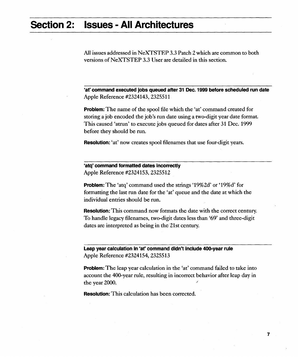# **Section 2: Issues - All Architectures**

All issues addressed in NeXTSTEP 3.3 Patch 2 which are common to both versions of NeXTSTEP 3.3 User are detailed in this section.

**'at' command executed jobs queued after 31 Dec. 1999 before scheduled run date**  Apple Reference #2324143,2325511

**Problem:** The name of the spool file which the 'at' command created for storing a job encoded the job's run date using a two-digit year date format. This caused 'atrun' to execute jobs queued for dates after 31 Dec. 1999 before they should be run.

**Resolution:** 'at' now creates spool filenames that use four-digit years.

**'atq' command formatted dates incorrectly**  Apple Reference #2324153,2325512

Problem: The 'atq' command used the strings '19%2d' or '19%d' for formatting the last run date for the 'at' queue and the date at which the individual entries should he run.

**Resolution:** This command now formats the date with the correct century. To handle legacy filenames, two-digit dates less than '69' and three-digit dates are interpreted as being in the 21st century.

**Leap year calculation in 'at' command didn't include 40o-year rule**  Apple Reference #2324154,2325513

**Problem:** The leap year calculation in the 'at' command failed to take into account the 400-year rule, resulting in incorrect behavior after leap day in the year 2000.

**Resolution:** This calculation has been corrected.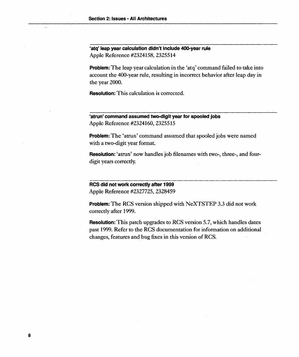**'atq' leap year calculation didn't include 400-year rule**  Apple Reference #2324158, 2325514

**Problem:** The leap year calculation in the 'atq' command failed to take into account the 400-year rule, resulting in incorrect behavior after leap day in the year 2000.

**Resolution:** This calculation is corrected.

**'atrun' command assumed two-digit year for spooled jobs**  Apple Reference #2324160,2325515

**Problem:** The 'atrun' command assumed that spooled jobs were named with a two-digit year format.

**Resolution:** 'atrun' now handles job filenames with two-, three-, and fourdigit years correctly.

**Res did not work correctly after 1999**  Apple Reference #2327725, 2328459

**Problem:** The RCS version shipped with NeXTSTEP 3.3 did not work correctly after 1999.

**Resolution:** This patch upgrades to RCS version 5.7, which handles dates past 1999. Refer to the RCS documentation for information on additional changes, features and bug fixes in this version of RCS.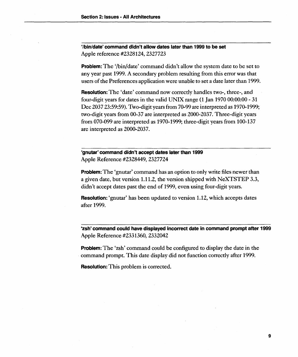'/bin/date' command didn't allow dates later than 1999 to be set Apple reference #2328124,2327723

**Problem:** The '/bin/date' command didn't allow the system date to be set to any year past 1999. A secondary problem resulting from this error was that users of the Preferences application were unable to set a date later than 1999.

Resolution: The 'date' command now correctly handles two-, three-, and four-digit years for dates in the valid UNIX range (1 Jan 1970 00:00:00 - 31 Dec 2037 23:59:59). Two-digit years from 70-99 are interpreted as 1970-1999; two-digit years from 00-37 are interpreted as 2000-2037. Three-digit years from 070-099 are interpreted as 1970-1999; three-digit years from 100-137 are interpreted as 2000-2037.

'gnutar' command didn't accept dates later than 1999 Apple Reference #2328449, 2327724

Problem: The 'gnutar' command has an option to only write files newer than a given date, but version 1.11.2, the version shipped with NeXTSTEP 3.3, didn't accept dates past the end of 1999, even using four-digit years.

Resolution: 'gnutar' has been updated to version 1.12, which accepts dates after 1999.

'zsh' command could have displayed incorrect date in command prompt after 1999 Apple Reference #2331360, 2332042

Problem: The 'zsh' command could be configured to display the date in the command prompt. This date display did not function correctly after 1999.

Resolution: This problem is corrected.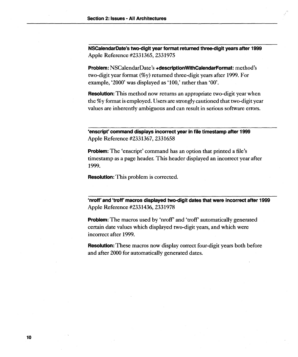**NSCalendarDate's two-digit year format returned three-digit years after 1999**  Apple Reference #2331365,2331975

**Problem:** NSCalendarDate's **+descriptionWithCalendarFormat:** method's two-digit year format (%y) returned three-digit years after 1999. For example, '2000' was displayed as '100,' rather than '00'.

**Resolution:** This method now returns an appropriate two-digit year when the %y format is employed. Users are strongly cautioned that two-digit year values are inherently ambiguous and can result in serious software errors.

**'enscript' command displays incorrect year in file timestamp after 1999**  Apple Reference #2331367,2331658

**Problem:** The 'enscript' command has an option that printed a file's timestamp as a page header. This header displayed an incorrect year after 1999.

**Resolution:** This problem is corrected.

**'nroff' and 'troff' macros displayed two-digit dates that were incorrect after 1999**  Apple Reference #2331436, 2331978

**Problem:** The macros used by 'nroff' and 'troff' automatically generated certain date values which displayed two-digit years, and which were incorrect after 1999.

**Resolution:** These macros now display correct four-digit years both before and after 2000 for automatically generated dates.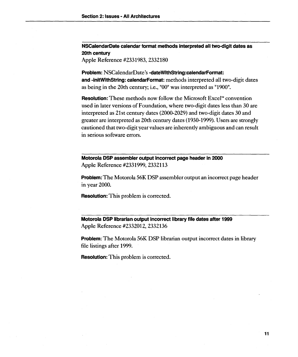**NSCalendarDate calendar format methods interpreted all two-digit dates as 20th century** 

Apple Reference #2331983, 2332180

**Problem:** NSCalendarDate's **-dateWithString:calendarFormat: and -initWithString: calendarFormat:** methods interpreted all two-digit dates as being in the 20th century; i.e., "00" was interpreted as "1900".

**Resolution:** These methods now follow the Microsoft Excel™ convention used in later versions of Foundation, where two-digit dates less than 30 are interpreted as 21st century dates (2000-2029) and two-digit dates 30 and greater are interpreted as 20th century dates (1930-1999). Users are strongly cautioned that two-digit year values are inherently ambiguous and can result in serious software errors.

**Motorola DSP assembler output incorrect page header in 2000**  Apple Reference #2331999,2332113

**Problem:** The Motorola 56K DSP assembler output an incorrect page header in year 2000.

**Resolution:** This problem is corrected.

**Motorola DSP librarian output incorrect library file dates after 1999**  Apple Reference #2332012, 2332136

**Problem:** The Motorola 56K DSP librarian output incorrect dates in library file listings after 1999.

**Resolution:** This problem is corrected.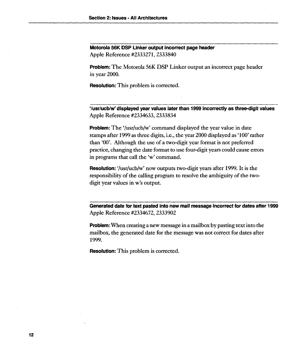**Motorola 56K DSP Linker output incorrect page header**  Apple Reference #2333271, 2333840

**Problem:** The Motorola 56K DSP Linker output an incorrect page header in year 2000.

**Resolution:** This problem is corrected.

**'/usr/ucb/w'displayed year values later than 1999 incorrectly as three-digit values**  Apple Reference #2334633, 2333834

**Problem:** The '/usr/ucb/w' command displayed the year value in date stamps after 1999 as three digits, i.e., the year 2000 displayed as '100' rather than '00'. Although the use of a two-digit year format is not preferred practice, changing the date format to use four-digit years could cause errors in programs that call the 'w' command.

**Resolution:** '/usr/ucb/w' now outputs two-digit years after 1999. It is the responsibility of the calling program to resolve the ambiguity of the twodigit year values in w's output.

**Generated date for text pasted into new mail message incorrect for dates after 1999**  Apple Reference #2334672, 2333902

**Problem:** When creating a new message in a mailbox by pasting text into the mailbox, the generated date for the message was not correct for dates after 1999.

**Resolution:** This problem is corrected.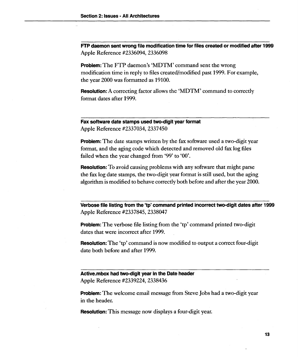**FTP daemon sent wrong file modification time for files created or modified after 1999**  Apple Reference #2336094, 2336098

**Problem:** The FTP daemon's 'MDTM' command sent the wrong modification time in reply to files created/modified past 1999. For example, the year 2000 was formatted as 19100.

**Resolution:** A correcting factor allows the 'MDTM' command to correctly format dates after 1999.

**Fax software date stamps used two-digit year format**  Apple Reference #2337034,2337450

**Problem:** The date stamps written by the fax software used a two-digit year format, and the aging code which detected and removed old fax log files failed when the year changed from '99' to '00'.

**Resolution:** To avoid causing problems with any software that might parse the fax log date stamps, the two-digit year format is still used, but the aging algorithm is modified to behave correctly both before and after the year 2000.

**Verbose file listing from the** 'tp' **command printed incorrect two-digit dates after 1999**  Apple Reference #2337845, 2338047

**Problem:** The verbose file listing from the 'tp' command printed two-digit dates that were incorrect after 1999.

**Resolution:** The 'tp' command is now modified to output a correct four-digit date both before and after 1999.

Active.mbox had two-digit year in the Date header Apple Reference #2339224, 2338436

**Problem:** The welcome email message from Steve Jobs had a two-digit year in the header.

**Resolution:** This message now displays a four-digit year.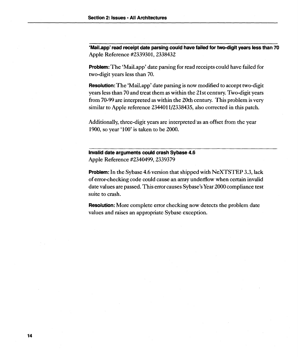**'Mail.app' read receipt date parsing could have failed for two-digit years less than 70**  Apple Reference #2339301, 2338432

**Problem:** The 'Mail.app' date parsing for read receipts could have failed for two-digit years less than 70.

**Resolution:** The 'Mail.app' date parsing is now modified to accept two-digit years less than 70 and treat them as within the 21 st century. Two-digit years from 70-99 are interpreted as within the 20th century. This problem is very similar to Apple reference 2344011/2338435, also corrected in this patch.

Additionally, three-digit years are interpreted 'as an offset from the year 1900, so year ' $100$ ' is taken to be 2000.

**Invalid date arguments could crash Sybase 4.6**  Apple Reference #2340499, 2339379

**Problem:** In the Sybase 4.6 version that shipped with NeXTSTEP 3.3, lack of error-checking code could cause an array underflow when certain invalid date values are passed. This error causes Sybase's Year 2000 compliance test suite to crash.

**Resolution:** More complete error checking now detects the problem date values and raises an appropriate Sybase exception.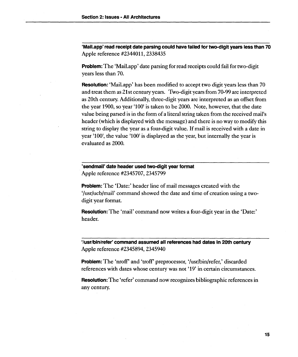**'Mail.app' read receipt date parsing could have failed for two-digit years less than 70**  Apple reference #2344011, 2338435

**Problem:** The 'Mail.app' date parsing for read receipts could fail for two-digit years less than 70.

**Resolution:** 'Mail.app' has been modified to accept two digit years less than 70 and treat them as 21st century years. Two-digit years from 70-99 are interpreted as 20th century. Additionally, three-digit years are interpreted as an offset from the year 1900, so year '100' is taken to be 2000. Note, however, that the date value being parsed is in the form of a literal string taken from the received mail's header (which is displayed with the message) and there is no way to modify this string to display the year as a four-digit value. If mail is received with a date in year '100', the value '100' is displayed as the year, but internally the year is evaluated as 2000.

**'sendmail' date header used two-digit year format**  Apple reference #2345707,2345799

**Problem:** The 'Date:' header line of mail messages created with the '/usr/ucb/mail' command showed the date and time of creation using a twodigit year format.

**Resolution:** The 'mail' command now writes a four-digit year in the 'Date:' header.

**'/usr/binlrefer' command assumed all references had dates in 20th century**  Apple reference #2345894, 2345940

**Problem:** The 'nroff' and 'troff' preprocessor, '/usr/bin/refer,' discarded references with dates whose century was not '19' in certain circumstances.

**Resolution:** The 'refer' command now recognizes bibliographic references in any century.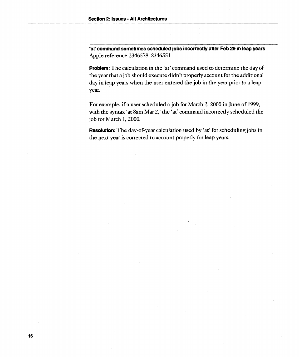'at' **command sometimes scheduled jobs incorrectly after Feb 29 in leap years**  Apple reference 2346578,2346551

**Problem:** The calculation in the 'at' command used to determine the day of the year that a job should execute didn't properly account for the additional day in leap years when the user entered the job in the year prior to a leap year.

For example, if a user scheduled a job for March 2, 2000 in June of 1999, with the syntax 'at 8am Mar 2,' the 'at' command incorrectly scheduled the job for March 1, 2000.

**Resolution:** The day-of-year calculation used by 'at' for scheduling jobs in the next year is corrected to account properly for leap years.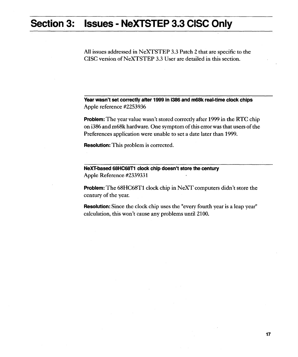# **Section 3: Issues - NeXTSTEP 3.3 CISC Only**

All issues addressed in NeXTSTEP 3.3 Patch 2 that are specific to the CISC version of NeXTSTEP 3.3 User are detailed in this section.

**Year wasn't set correctly after 1999 in i386 and m68k real-time clock chips**  Apple reference #2253936

**Problem:** The year value wasn't stored correctly after 1999 in the RTC chip on i386 and m68k hardware. One symptom of this error was that users of the Preferences application were unable to set a date later than 1999.

**Resolution:** This problem is corrected.

**NeXT-based 68HC68T1 clock chip doesn't store the century**  Apple Reference #2339331

**Problem:** The 68HC68T1 clock chip in NeXT computers didn't store the century of the year.

**Resolution:** Since the clock chip uses the "every fourth year is a leap year" calculation, this won't cause any problems until 2100.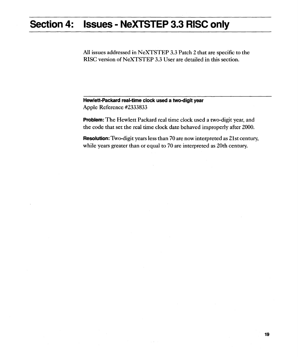# Section 4: **Issues - NeXTSTEP 3.3 RISC only**

All issues addressed in NeXTSTEP 3.3 Patch 2 that are specific to the RISC version of NeXTSTEP 3.3 User are detailed in this section.

**Hewlett-Packard real-time clock used a two-digit year**  Apple Reference #2333833

**Problem:** The Hewlett Packard real time clock used a two-digit year, and the code that set the real time clock date behaved improperly after 2000.

**Resolution:** Two-digit years less than 70 are now interpreted as 21st century, while years greater than or equal to 70 are interpreted as 20th century.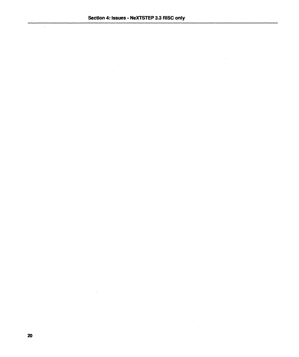$\sim$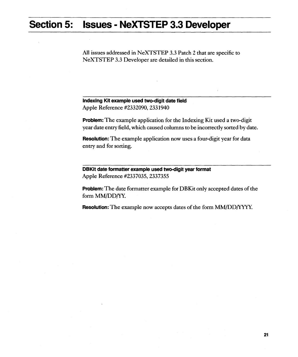# **Section 5: Issues - NeXTSTEP 3.3 Developer**

All issues addressed in NeXTSTEP 3.3 Patch 2 that are specific to NeXTSTEP 3.3 Developer are detailed in this section.

**Indexing Kit example used two-digit date field**  Apple Reference #2332090, 2331940

**Problem:** The example application for the Indexing Kit used a two-digit year date entry field, which caused columns to be incorrectly sorted by date.

**Resolution:** The example application now uses a four-digit year for data entry and for sorting.

**DBKit date formatter example used two-digit year format**  Apple Reference #2337035,2337355

**Problem:** The date formatter example for DBKit only accepted dates of the form MM/DD/YY.

**Resolution:** The example now accepts dates of the form MM/DD/YYYY.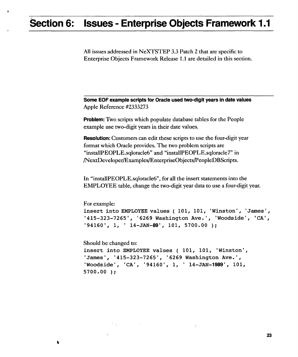## **Section 6: Issues - Enterprise Objects Framework 1.1**

All issues addressed in NeXTSTEP 3.3 Patch 2 that are specific to Enterprise Objects Framework Release 1.1 are detailed in this section.

**Some EOF example scripts for Oracle used two-digit years in date values**  Apple Reference #2333273

**Problem:** Two scripts which populate database tables for the People example use two-digit years in their date values.

**Resolution:** Customers can edit these scripts to use the four-digit year format which Oracle provides. The two problem scripts are "installPEOPLE.sqloracle6" and "installPEOPLE.sqloracle7" in INextDeveloper/Examples/EnterpriseObjects/PeopleDBScripts.

In "installPEOPLE.sqloracle6", for all the insert statements into the EMPLOYEE table, change the two-digit year data to use a four-digit year.

For example:

insert into EMPLOYEE values ( 101, 101, 'Winston', 'James', '415-323-7265', '6269 Washington Ave.', 'Woodside', 'CA', '94160',1, '14-JAN-89', 101, *5700.00)i* 

Should be changed to:

insert into EMPLOYEE values ( 101, 101, 'Winston', 'James', '415-323-7265', '6269 Washington Ave.', 'Woodside', 'CA', '94160', 1, ' 14-JAN-1989, , 101, *5700.00 )i*